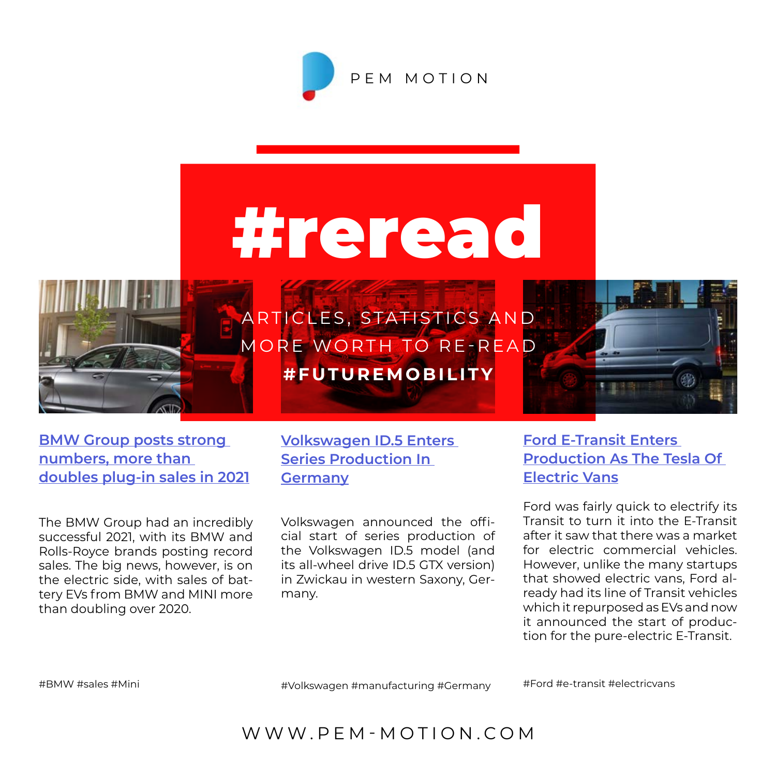

# #reread



A R T I C LES, STATISTICS A N D MORE WORTH TO RE-READ **#FUTUREMOBILITY**



**[BMW Group posts strong](https://electrek.co/guides/bmw/)  [numbers, more than](https://electrek.co/guides/bmw/)  [doubles plug-in sales in 2021](https://electrek.co/guides/bmw/)**

The BMW Group had an incredibly successful 2021, with its BMW and Rolls-Royce brands posting record sales. The big news, however, is on the electric side, with sales of battery EVs from BMW and MINI more than doubling over 2020.

**[Volkswagen ID.5 Enters](https://insideevs.com/news/563781/volkswagen-id5-entered-series-production/)  [Series Production In](https://insideevs.com/news/563781/volkswagen-id5-entered-series-production/)  [Germany](https://insideevs.com/news/563781/volkswagen-id5-entered-series-production/)**

Volkswagen announced the official start of series production of the Volkswagen ID.5 model (and its all-wheel drive ID.5 GTX version) in Zwickau in western Saxony, Germany.

**[Ford E-Transit Enters](https://insideevs.com/news/563791/ford-etransit-enters-production-us/)  [Production As The Tesla Of](https://insideevs.com/news/563791/ford-etransit-enters-production-us/)  [Electric Vans](https://insideevs.com/news/563791/ford-etransit-enters-production-us/)**

Ford was fairly quick to electrify its Transit to turn it into the E-Transit after it saw that there was a market for electric commercial vehicles. However, unlike the many startups that showed electric vans, Ford already had its line of Transit vehicles which it repurposed as EVs and now it announced the start of production for the pure-electric E-Transit.

#BMW #sales #Mini

#Volkswagen #manufacturing #Germany

#Ford #e-transit #electricvans

WWW.PEM-MOTION.COM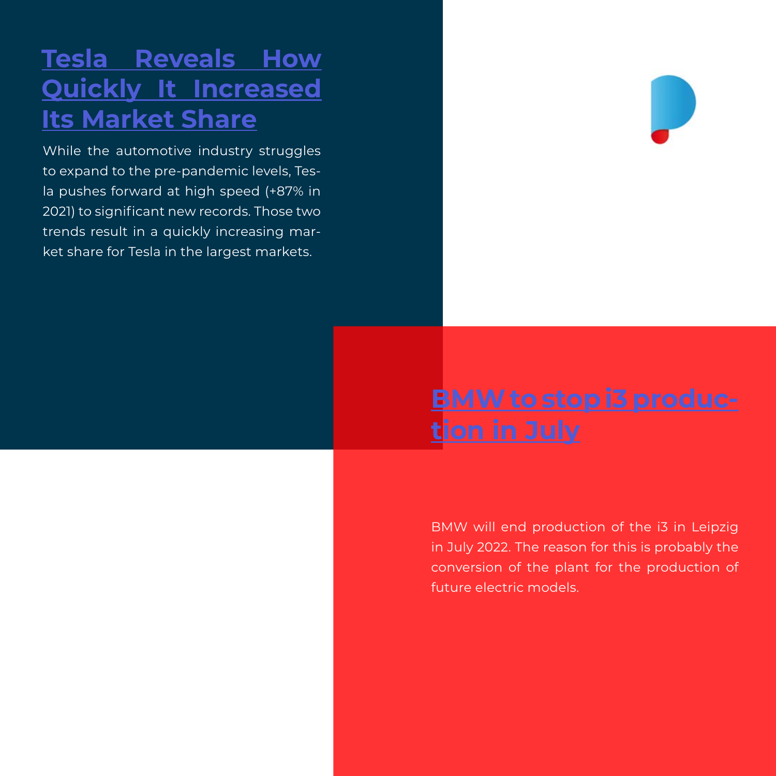## **[Tesla Reveals How](https://insideevs.com/news/563416/tesla-market-share-growth-2021/) [Quickly It Increased](https://insideevs.com/news/563416/tesla-market-share-growth-2021/) [Its Market Share](https://insideevs.com/news/563416/tesla-market-share-growth-2021/)**

While the automotive industry struggles to expand to the pre-pandemic levels, Tesla pushes forward at high speed (+87% in 2021) to significant new records. Those two trends result in a quickly increasing market share for Tesla in the largest markets.



# **[BMW to stop i3 produc](https://www.electrive.com/2022/01/28/bmw-to-stop-i3-production-in-july/)[tion in July](https://www.electrive.com/2022/01/28/bmw-to-stop-i3-production-in-july/)**

[B](https://www.electrive.net/2021/10/24/heiner-heimes-vom-pem-der-rwth-aachen-ueber-das-wachstum-der-batterieproduktion/)MW will end production of the i3 in Leipzig in July 2022. The reason for this is probably the conversion of the plant for the production of future electric models.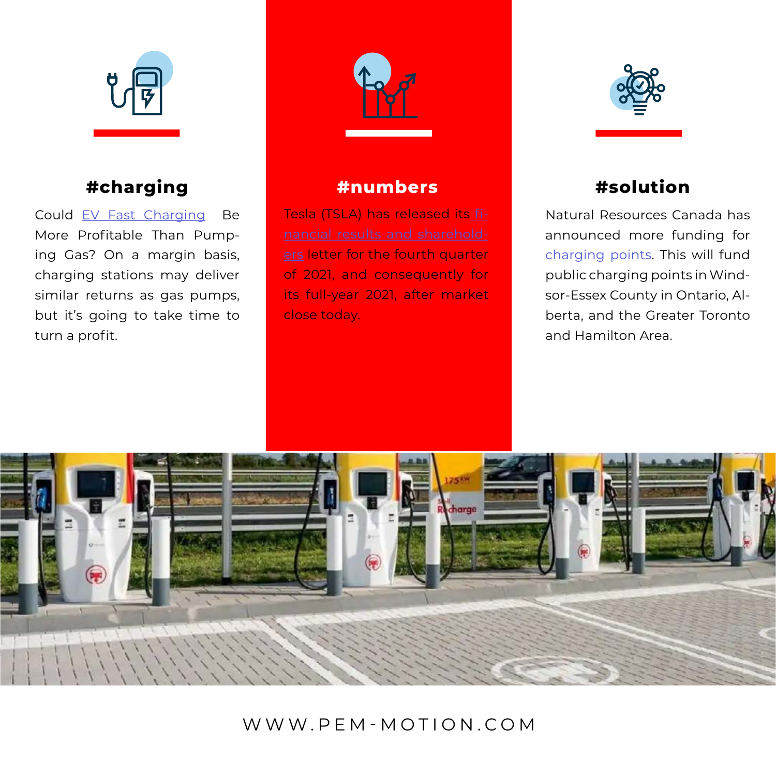

## **#charging #numbers #solution**

Could [EV Fast Charging](https://insideevs.com/news/563809/ev-charging-profits-vs-gas/) Be More Profitable Than Pumping Gas? On a margin basis, charging stations may deliver similar returns as gas pumps, but it's going to take time to turn a profit.



Tesla (TSLA) has released its [fi](https://electrek.co/2022/01/26/tesla-tsla-q4-2021-financial-results/)[ers](https://electrek.co/2022/01/26/tesla-tsla-q4-2021-financial-results/) letter for the fourth quarter of 2021, and consequently for its full-year 2021, after market close today.



Natural Resources Canada has announced more funding for [charging points.](https://www.electrive.com/2022/01/26/canada-funds-charging-points-in-ontario-and-alberta/) This will fund public charging points in Windsor-Essex County in Ontario, Alberta, and the Greater Toronto and Hamilton Area.



## WWW.PEM-MOTION.COM